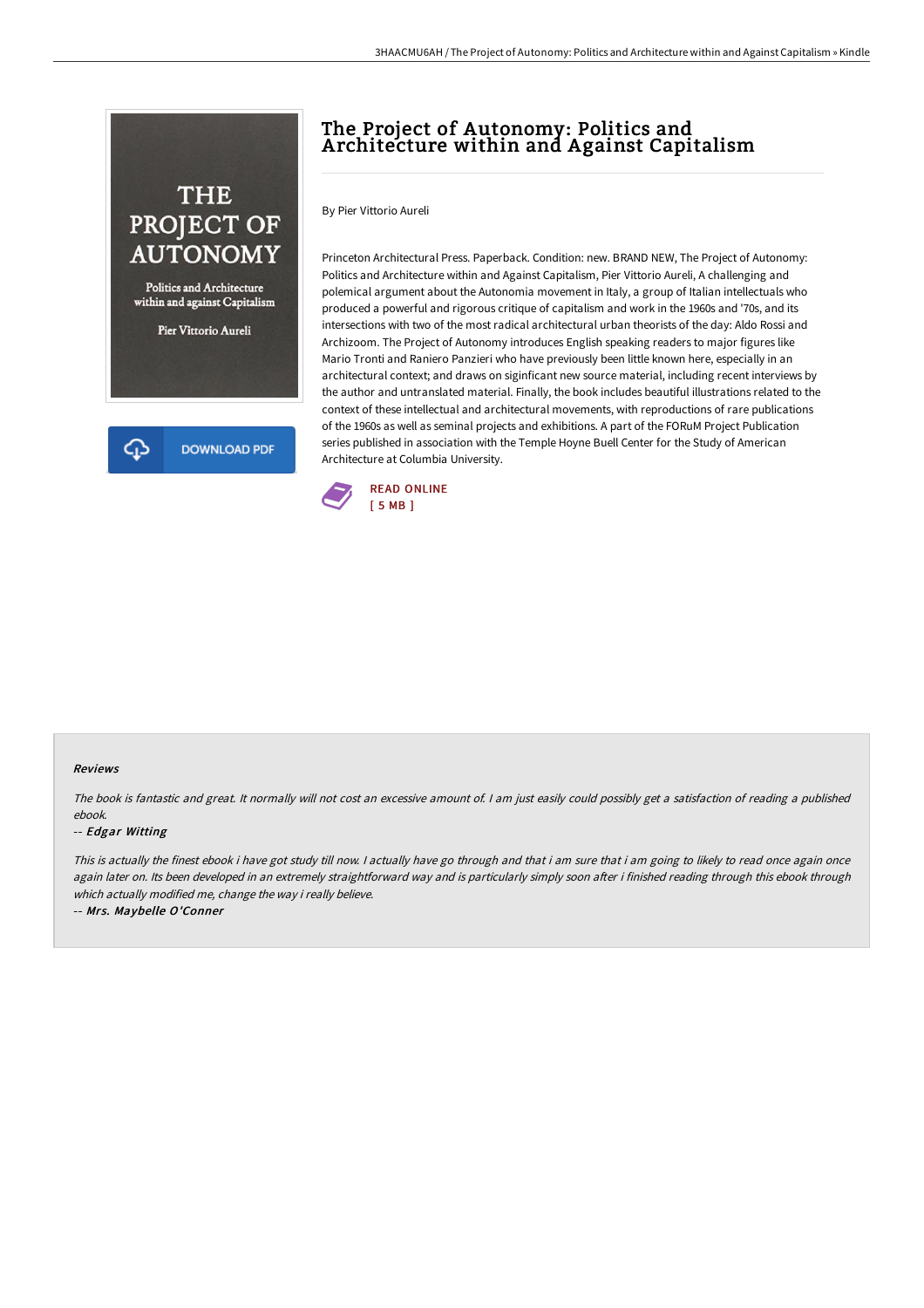## THE PROJECT OF **AUTONOMY**

Politics and Architecture within and against Capitalism

Pier Vittorio Aureli

**DOWNLOAD PDF** 

⊕

## The Project of Autonomy: Politics and Architecture within and Against Capitalism

By Pier Vittorio Aureli

Princeton Architectural Press. Paperback. Condition: new. BRAND NEW, The Project of Autonomy: Politics and Architecture within and Against Capitalism, Pier Vittorio Aureli, A challenging and polemical argument about the Autonomia movement in Italy, a group of Italian intellectuals who produced a powerful and rigorous critique of capitalism and work in the 1960s and '70s, and its intersections with two of the most radical architectural urban theorists of the day: Aldo Rossi and Archizoom. The Project of Autonomy introduces English speaking readers to major figures like Mario Tronti and Raniero Panzieri who have previously been little known here, especially in an architectural context; and draws on siginficant new source material, including recent interviews by the author and untranslated material. Finally, the book includes beautiful illustrations related to the context of these intellectual and architectural movements, with reproductions of rare publications of the 1960s as well as seminal projects and exhibitions. A part of the FORuM Project Publication series published in association with the Temple Hoyne Buell Center for the Study of American Architecture at Columbia University.



## Reviews

The book is fantastic and great. It normally will not cost an excessive amount of. <sup>I</sup> am just easily could possibly get <sup>a</sup> satisfaction of reading <sup>a</sup> published ebook.

## -- Edgar Witting

This is actually the finest ebook i have got study till now. I actually have go through and that i am sure that i am going to likely to read once again once again later on. Its been developed in an extremely straightforward way and is particularly simply soon after i finished reading through this ebook through which actually modified me, change the way i really believe.

-- Mrs. Maybelle O'Conner